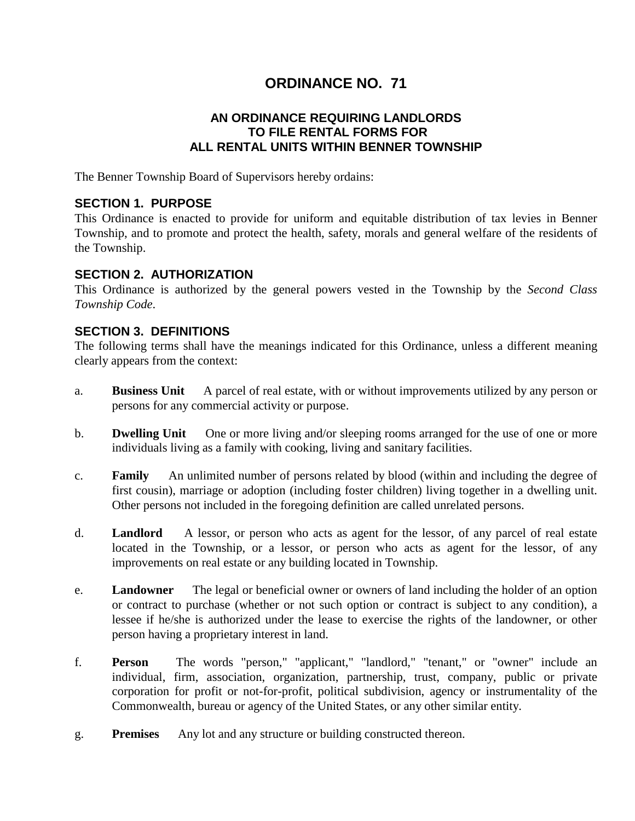# **ORDINANCE NO. 71**

# **AN ORDINANCE REQUIRING LANDLORDS TO FILE RENTAL FORMS FOR ALL RENTAL UNITS WITHIN BENNER TOWNSHIP**

The Benner Township Board of Supervisors hereby ordains:

# **SECTION 1. PURPOSE**

This Ordinance is enacted to provide for uniform and equitable distribution of tax levies in Benner Township, and to promote and protect the health, safety, morals and general welfare of the residents of the Township.

## **SECTION 2. AUTHORIZATION**

This Ordinance is authorized by the general powers vested in the Township by the *Second Class Township Code*.

# **SECTION 3. DEFINITIONS**

The following terms shall have the meanings indicated for this Ordinance, unless a different meaning clearly appears from the context:

- a. **Business Unit** A parcel of real estate, with or without improvements utilized by any person or persons for any commercial activity or purpose.
- b. **Dwelling Unit** One or more living and/or sleeping rooms arranged for the use of one or more individuals living as a family with cooking, living and sanitary facilities.
- c. **Family** An unlimited number of persons related by blood (within and including the degree of first cousin), marriage or adoption (including foster children) living together in a dwelling unit. Other persons not included in the foregoing definition are called unrelated persons.
- d. **Landlord** A lessor, or person who acts as agent for the lessor, of any parcel of real estate located in the Township, or a lessor, or person who acts as agent for the lessor, of any improvements on real estate or any building located in Township.
- e. **Landowner** The legal or beneficial owner or owners of land including the holder of an option or contract to purchase (whether or not such option or contract is subject to any condition), a lessee if he/she is authorized under the lease to exercise the rights of the landowner, or other person having a proprietary interest in land.
- f. **Person** The words "person," "applicant," "landlord," "tenant," or "owner" include an individual, firm, association, organization, partnership, trust, company, public or private corporation for profit or not-for-profit, political subdivision, agency or instrumentality of the Commonwealth, bureau or agency of the United States, or any other similar entity.
- g. **Premises** Any lot and any structure or building constructed thereon.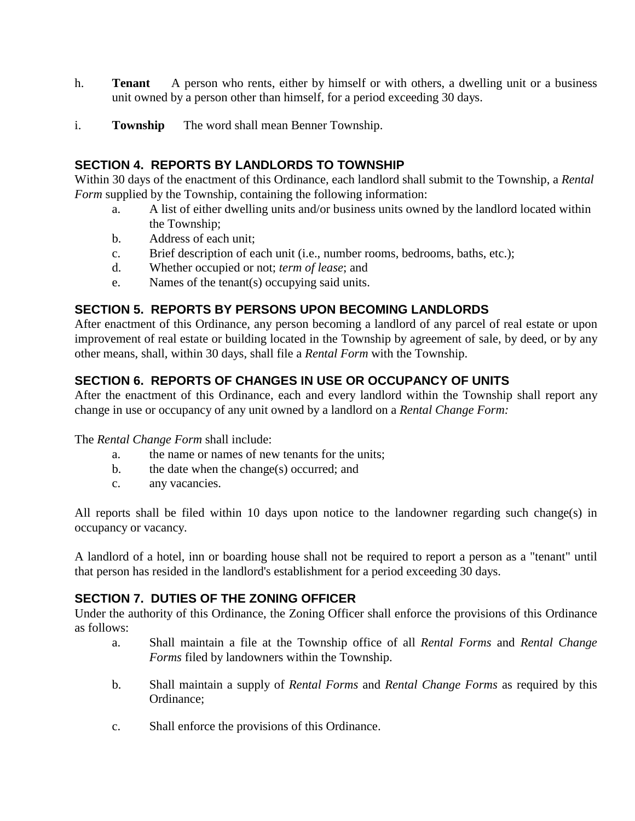- h. **Tenant** A person who rents, either by himself or with others, a dwelling unit or a business unit owned by a person other than himself, for a period exceeding 30 days.
- i. **Township** The word shall mean Benner Township.

# **SECTION 4. REPORTS BY LANDLORDS TO TOWNSHIP**

Within 30 days of the enactment of this Ordinance, each landlord shall submit to the Township, a *Rental Form* supplied by the Township, containing the following information:

- a. A list of either dwelling units and/or business units owned by the landlord located within the Township;
- b. Address of each unit;
- c. Brief description of each unit (i.e., number rooms, bedrooms, baths, etc.);
- d. Whether occupied or not; *term of lease*; and
- e. Names of the tenant(s) occupying said units.

## **SECTION 5. REPORTS BY PERSONS UPON BECOMING LANDLORDS**

After enactment of this Ordinance, any person becoming a landlord of any parcel of real estate or upon improvement of real estate or building located in the Township by agreement of sale, by deed, or by any other means, shall, within 30 days, shall file a *Rental Form* with the Township.

# **SECTION 6. REPORTS OF CHANGES IN USE OR OCCUPANCY OF UNITS**

After the enactment of this Ordinance, each and every landlord within the Township shall report any change in use or occupancy of any unit owned by a landlord on a *Rental Change Form:*

The *Rental Change Form* shall include:

- a. the name or names of new tenants for the units;
- b. the date when the change(s) occurred; and
- c. any vacancies.

All reports shall be filed within 10 days upon notice to the landowner regarding such change(s) in occupancy or vacancy.

A landlord of a hotel, inn or boarding house shall not be required to report a person as a "tenant" until that person has resided in the landlord's establishment for a period exceeding 30 days.

#### **SECTION 7. DUTIES OF THE ZONING OFFICER**

Under the authority of this Ordinance, the Zoning Officer shall enforce the provisions of this Ordinance as follows:

- a. Shall maintain a file at the Township office of all *Rental Forms* and *Rental Change Forms* filed by landowners within the Township.
- b. Shall maintain a supply of *Rental Forms* and *Rental Change Forms* as required by this Ordinance;
- c. Shall enforce the provisions of this Ordinance.